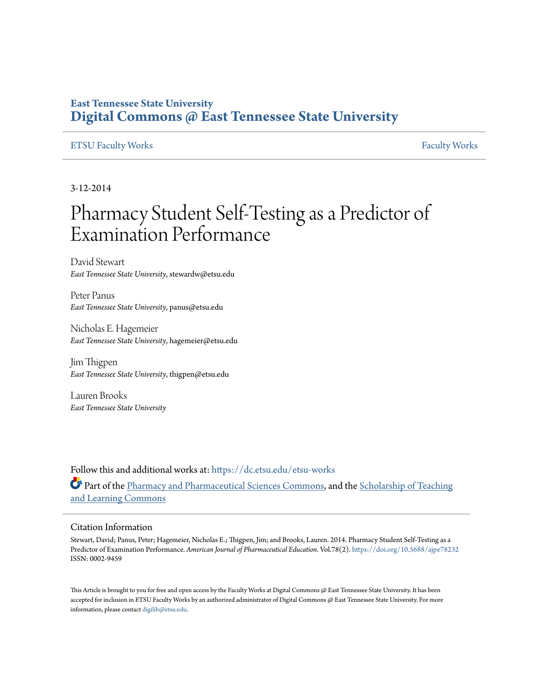## **East Tennessee State University [Digital Commons @ East Tennessee State University](https://dc.etsu.edu?utm_source=dc.etsu.edu%2Fetsu-works%2F1473&utm_medium=PDF&utm_campaign=PDFCoverPages)**

#### [ETSU Faculty Works](https://dc.etsu.edu/etsu-works?utm_source=dc.etsu.edu%2Fetsu-works%2F1473&utm_medium=PDF&utm_campaign=PDFCoverPages) [Faculty Works](https://dc.etsu.edu/faculty-works?utm_source=dc.etsu.edu%2Fetsu-works%2F1473&utm_medium=PDF&utm_campaign=PDFCoverPages) Faculty Works

3-12-2014

# Pharmacy Student Self-Testing as a Predictor of Examination Performance

David Stewart *East Tennessee State University*, stewardw@etsu.edu

Peter Panus *East Tennessee State University*, panus@etsu.edu

Nicholas E. Hagemeier *East Tennessee State University*, hagemeier@etsu.edu

Jim Thigpen *East Tennessee State University*, thigpen@etsu.edu

Lauren Brooks *East Tennessee State University*

Follow this and additional works at: [https://dc.etsu.edu/etsu-works](https://dc.etsu.edu/etsu-works?utm_source=dc.etsu.edu%2Fetsu-works%2F1473&utm_medium=PDF&utm_campaign=PDFCoverPages) Part of the [Pharmacy and Pharmaceutical Sciences Commons](http://network.bepress.com/hgg/discipline/731?utm_source=dc.etsu.edu%2Fetsu-works%2F1473&utm_medium=PDF&utm_campaign=PDFCoverPages), and the [Scholarship of Teaching](http://network.bepress.com/hgg/discipline/1328?utm_source=dc.etsu.edu%2Fetsu-works%2F1473&utm_medium=PDF&utm_campaign=PDFCoverPages) [and Learning Commons](http://network.bepress.com/hgg/discipline/1328?utm_source=dc.etsu.edu%2Fetsu-works%2F1473&utm_medium=PDF&utm_campaign=PDFCoverPages)

#### Citation Information

Stewart, David; Panus, Peter; Hagemeier, Nicholas E.; Thigpen, Jim; and Brooks, Lauren. 2014. Pharmacy Student Self-Testing as a Predictor of Examination Performance. *American Journal of Pharmaceutical Education*. Vol.78(2). <https://doi.org/10.5688/ajpe78232> ISSN: 0002-9459

This Article is brought to you for free and open access by the Faculty Works at Digital Commons  $\varpi$  East Tennessee State University. It has been accepted for inclusion in ETSU Faculty Works by an authorized administrator of Digital Commons @ East Tennessee State University. For more information, please contact [digilib@etsu.edu.](mailto:digilib@etsu.edu)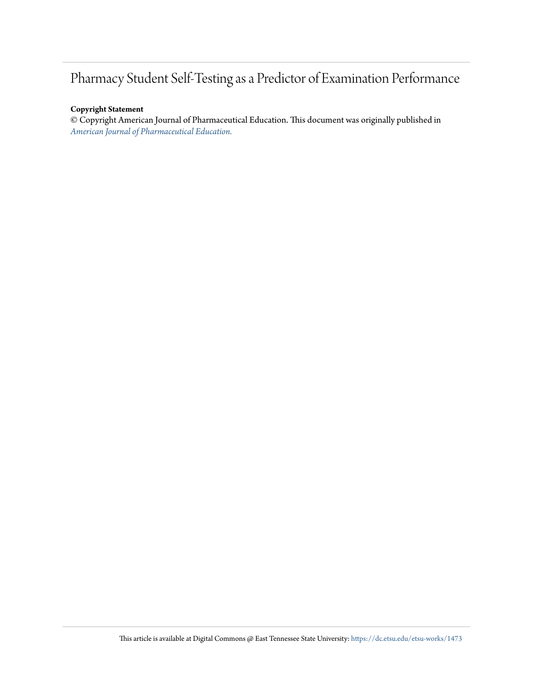## Pharmacy Student Self-Testing as a Predictor of Examination Performance

#### **Copyright Statement**

© Copyright American Journal of Pharmaceutical Education. This document was originally published in *[American Journal of Pharmaceutical Education.](https://doi.org/10.5688/ajpe78232)*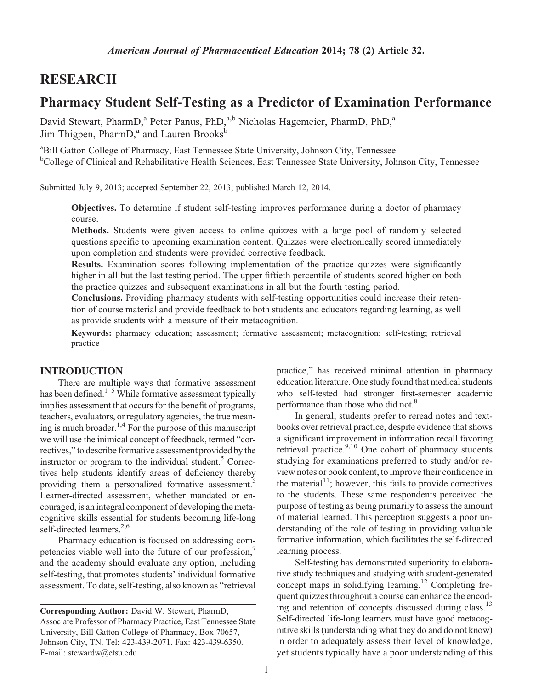### RESEARCH

## Pharmacy Student Self-Testing as a Predictor of Examination Performance

David Stewart, PharmD,<sup>a</sup> Peter Panus, PhD,<sup>a,b</sup> Nicholas Hagemeier, PharmD, PhD,<sup>a</sup> Jim Thigpen, PharmD,<sup>a</sup> and Lauren Brooks<sup>b</sup>

<sup>a</sup>Bill Gatton College of Pharmacy, East Tennessee State University, Johnson City, Tennessee <sup>b</sup>College of Clinical and Rehabilitative Health Sciences, East Tennessee State University, Johnson City, Tennessee

Submitted July 9, 2013; accepted September 22, 2013; published March 12, 2014.

Objectives. To determine if student self-testing improves performance during a doctor of pharmacy course.

Methods. Students were given access to online quizzes with a large pool of randomly selected questions specific to upcoming examination content. Quizzes were electronically scored immediately upon completion and students were provided corrective feedback.

Results. Examination scores following implementation of the practice quizzes were significantly higher in all but the last testing period. The upper fiftieth percentile of students scored higher on both the practice quizzes and subsequent examinations in all but the fourth testing period.

Conclusions. Providing pharmacy students with self-testing opportunities could increase their retention of course material and provide feedback to both students and educators regarding learning, as well as provide students with a measure of their metacognition.

Keywords: pharmacy education; assessment; formative assessment; metacognition; self-testing; retrieval practice

#### INTRODUCTION

There are multiple ways that formative assessment has been defined.<sup>1–5</sup> While formative assessment typically implies assessment that occurs for the benefit of programs, teachers, evaluators, or regulatory agencies, the true meaning is much broader.<sup>1,4</sup> For the purpose of this manuscript we will use the inimical concept of feedback, termed "correctives," to describe formative assessment provided bythe instructor or program to the individual student.<sup>5</sup> Correctives help students identify areas of deficiency thereby providing them a personalized formative assessment.<sup>5</sup> Learner-directed assessment, whether mandated or encouraged, is an integral component of developing the metacognitive skills essential for students becoming life-long self-directed learners.<sup>2,6</sup>

Pharmacy education is focused on addressing competencies viable well into the future of our profession,<sup>7</sup> and the academy should evaluate any option, including self-testing, that promotes students' individual formative assessment. To date, self-testing, also known as "retrieval

practice," has received minimal attention in pharmacy education literature. One study found that medical students who self-tested had stronger first-semester academic performance than those who did not.<sup>8</sup>

In general, students prefer to reread notes and textbooks over retrieval practice, despite evidence that shows a significant improvement in information recall favoring retrieval practice.<sup>9,10</sup> One cohort of pharmacy students studying for examinations preferred to study and/or review notes or book content, to improve their confidence in the material<sup>11</sup>; however, this fails to provide correctives to the students. These same respondents perceived the purpose of testing as being primarily to assess the amount of material learned. This perception suggests a poor understanding of the role of testing in providing valuable formative information, which facilitates the self-directed learning process.

Self-testing has demonstrated superiority to elaborative study techniques and studying with student-generated concept maps in solidifying learning.<sup>12</sup> Completing frequent quizzes throughout a course can enhance the encoding and retention of concepts discussed during class.<sup>13</sup> Self-directed life-long learners must have good metacognitive skills (understanding what they do and do not know) in order to adequately assess their level of knowledge, yet students typically have a poor understanding of this

Corresponding Author: David W. Stewart, PharmD, Associate Professor of Pharmacy Practice, East Tennessee State University, Bill Gatton College of Pharmacy, Box 70657, Johnson City, TN. Tel: 423-439-2071. Fax: 423-439-6350. E-mail: stewardw@etsu.edu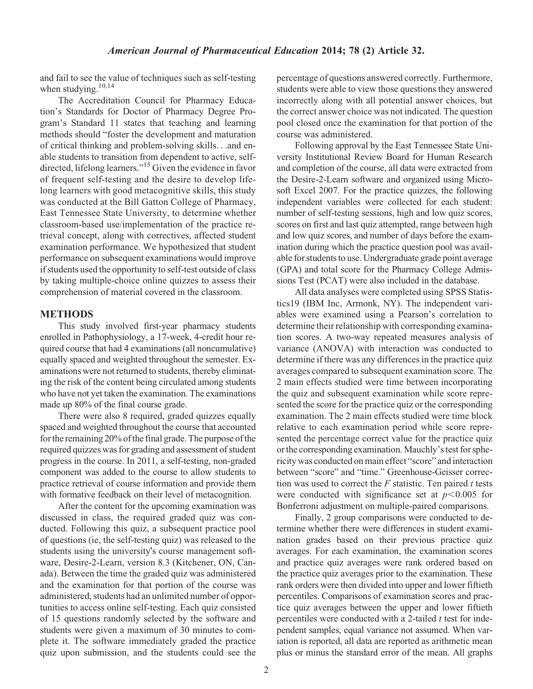and fail to see the value of techniques such as self-testing when studying.<sup>10,14</sup>

The Accreditation Council for Pharmacy Education's Standards for Doctor of Pharmacy Degree Program's Standard 11 states that teaching and learning methods should "foster the development and maturation of critical thinking and problem-solving skills...and enable students to transition from dependent to active, selfdirected, lifelong learners."15 Given the evidence in favor of frequent self-testing and the desire to develop lifelong learners with good metacognitive skills, this study was conducted at the Bill Gatton College of Pharmacy, East Tennessee State University, to determine whether classroom-based use/implementation of the practice retrieval concept, along with correctives, affected student examination performance. We hypothesized that student performance on subsequent examinations would improve if students used the opportunity to self-test outside of class by taking multiple-choice online quizzes to assess their comprehension of material covered in the classroom.

#### METHODS

This study involved first-year pharmacy students enrolled in Pathophysiology, a 17-week, 4-credit hour required course that had 4 examinations (all noncumulative) equally spaced and weighted throughout the semester. Examinations were not returned to students, thereby eliminating the risk of the content being circulated among students who have not yet taken the examination. The examinations made up 80% of the final course grade.

There were also 8 required, graded quizzes equally spaced and weighted throughout the course that accounted for the remaining 20% of the final grade. The purpose of the required quizzes was for grading and assessment of student progress in the course. In 2011, a self-testing, non-graded component was added to the course to allow students to practice retrieval of course information and provide them with formative feedback on their level of metacognition.

After the content for the upcoming examination was discussed in class, the required graded quiz was conducted. Following this quiz, a subsequent practice pool of questions (ie, the self-testing quiz) was released to the students using the university's course management software, Desire-2-Learn, version 8.3 (Kitchener, ON, Canada). Between the time the graded quiz was administered and the examination for that portion of the course was administered, students had an unlimited number of opportunities to access online self-testing. Each quiz consisted of 15 questions randomly selected by the software and students were given a maximum of 30 minutes to complete it. The software immediately graded the practice quiz upon submission, and the students could see the percentage of questions answered correctly. Furthermore, students were able to view those questions they answered incorrectly along with all potential answer choices, but the correct answer choice was not indicated. The question pool closed once the examination for that portion of the course was administered.

Following approval by the East Tennessee State University Institutional Review Board for Human Research and completion of the course, all data were extracted from the Desire-2-Learn software and organized using Microsoft Excel 2007. For the practice quizzes, the following independent variables were collected for each student: number of self-testing sessions, high and low quiz scores, scores on first and last quiz attempted, range between high and low quiz scores, and number of days before the examination during which the practice question pool was available for students to use. Undergraduate grade point average (GPA) and total score for the Pharmacy College Admissions Test (PCAT) were also included in the database.

All data analyses were completed using SPSS Statistics19 (IBM Inc, Armonk, NY). The independent variables were examined using a Pearson's correlation to determine their relationship with corresponding examination scores. A two-way repeated measures analysis of variance (ANOVA) with interaction was conducted to determine if there was any differences in the practice quiz averages compared to subsequent examination score. The 2 main effects studied were time between incorporating the quiz and subsequent examination while score represented the score for the practice quiz or the corresponding examination. The 2 main effects studied were time block relative to each examination period while score represented the percentage correct value for the practice quiz or the corresponding examination. Mauchly's test for sphericity was conducted on main effect "score" and interaction between "score" and "time." Greenhouse-Geisser correction was used to correct the  $F$  statistic. Ten paired  $t$  tests were conducted with significance set at  $p<0.005$  for Bonferroni adjustment on multiple-paired comparisons.

Finally, 2 group comparisons were conducted to determine whether there were differences in student examination grades based on their previous practice quiz averages. For each examination, the examination scores and practice quiz averages were rank ordered based on the practice quiz averages prior to the examination. These rank orders were then divided into upper and lower fiftieth percentiles. Comparisons of examination scores and practice quiz averages between the upper and lower fiftieth percentiles were conducted with a 2-tailed  $t$  test for independent samples, equal variance not assumed. When variation is reported, all data are reported as arithmetic mean plus or minus the standard error of the mean. All graphs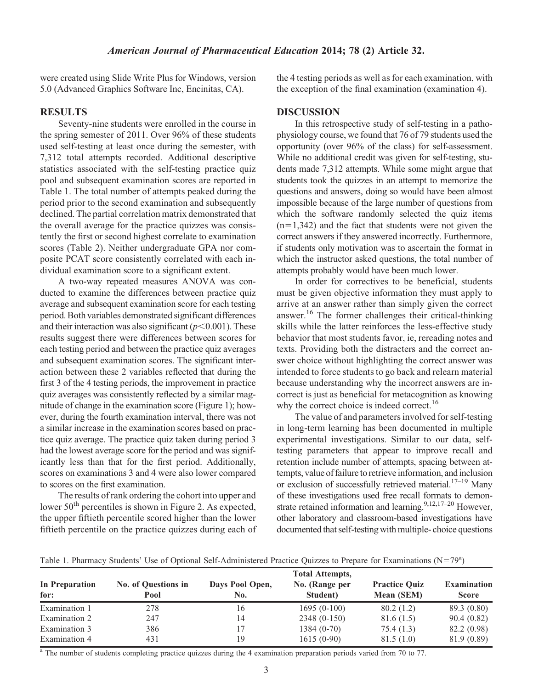were created using Slide Write Plus for Windows, version 5.0 (Advanced Graphics Software Inc, Encinitas, CA).

#### RESULTS

Seventy-nine students were enrolled in the course in the spring semester of 2011. Over 96% of these students used self-testing at least once during the semester, with 7,312 total attempts recorded. Additional descriptive statistics associated with the self-testing practice quiz pool and subsequent examination scores are reported in Table 1. The total number of attempts peaked during the period prior to the second examination and subsequently declined. The partial correlation matrix demonstrated that the overall average for the practice quizzes was consistently the first or second highest correlate to examination scores (Table 2). Neither undergraduate GPA nor composite PCAT score consistently correlated with each individual examination score to a significant extent.

A two-way repeated measures ANOVA was conducted to examine the differences between practice quiz average and subsequent examination score for each testing period. Both variables demonstrated significant differences and their interaction was also significant  $(p<0.001)$ . These results suggest there were differences between scores for each testing period and between the practice quiz averages and subsequent examination scores. The significant interaction between these 2 variables reflected that during the first 3 of the 4 testing periods, the improvement in practice quiz averages was consistently reflected by a similar magnitude of change in the examination score (Figure 1); however, during the fourth examination interval, there was not a similar increase in the examination scores based on practice quiz average. The practice quiz taken during period 3 had the lowest average score for the period and was significantly less than that for the first period. Additionally, scores on examinations 3 and 4 were also lower compared to scores on the first examination.

The results of rank ordering the cohort into upper and lower  $50<sup>th</sup>$  percentiles is shown in Figure 2. As expected, the upper fiftieth percentile scored higher than the lower fiftieth percentile on the practice quizzes during each of the 4 testing periods as well as for each examination, with the exception of the final examination (examination 4).

#### **DISCUSSION**

In this retrospective study of self-testing in a pathophysiology course, we found that 76 of 79 students used the opportunity (over 96% of the class) for self-assessment. While no additional credit was given for self-testing, students made 7,312 attempts. While some might argue that students took the quizzes in an attempt to memorize the questions and answers, doing so would have been almost impossible because of the large number of questions from which the software randomly selected the quiz items  $(n=1,342)$  and the fact that students were not given the correct answers if they answered incorrectly. Furthermore, if students only motivation was to ascertain the format in which the instructor asked questions, the total number of attempts probably would have been much lower.

In order for correctives to be beneficial, students must be given objective information they must apply to arrive at an answer rather than simply given the correct answer.<sup>16</sup> The former challenges their critical-thinking skills while the latter reinforces the less-effective study behavior that most students favor, ie, rereading notes and texts. Providing both the distracters and the correct answer choice without highlighting the correct answer was intended to force students to go back and relearn material because understanding why the incorrect answers are incorrect is just as beneficial for metacognition as knowing why the correct choice is indeed correct.<sup>16</sup>

The value of and parameters involved for self-testing in long-term learning has been documented in multiple experimental investigations. Similar to our data, selftesting parameters that appear to improve recall and retention include number of attempts, spacing between attempts, value of failure to retrieve information, and inclusion or exclusion of successfully retrieved material.<sup>17–19</sup> Many of these investigations used free recall formats to demonstrate retained information and learning.<sup>9,12,17–20</sup> However, other laboratory and classroom-based investigations have documented that self-testing with multiple- choice questions

|                        | <b>Total Attempts,</b>      |                        |                            |                                           |                                    |  |  |  |  |
|------------------------|-----------------------------|------------------------|----------------------------|-------------------------------------------|------------------------------------|--|--|--|--|
| In Preparation<br>for: | No. of Questions in<br>Pool | Days Pool Open,<br>No. | No. (Range per<br>Student) | <b>Practice Quiz</b><br><b>Mean (SEM)</b> | <b>Examination</b><br><b>Score</b> |  |  |  |  |
| Examination 1          | 278                         | 16                     | $1695(0-100)$              | 80.2(1.2)                                 | 89.3 (0.80)                        |  |  |  |  |
| Examination 2          | 247                         | 14                     | 2348 (0-150)               | 81.6(1.5)                                 | 90.4(0.82)                         |  |  |  |  |
| Examination 3          | 386                         |                        | 1384 (0-70)                | 75.4 (1.3)                                | 82.2 (0.98)                        |  |  |  |  |
| Examination 4          | 431                         | 19                     | $1615(0-90)$               | 81.5(1.0)                                 | 81.9 (0.89)                        |  |  |  |  |

<sup>a</sup> The number of students completing practice quizzes during the 4 examination preparation periods varied from 70 to 77.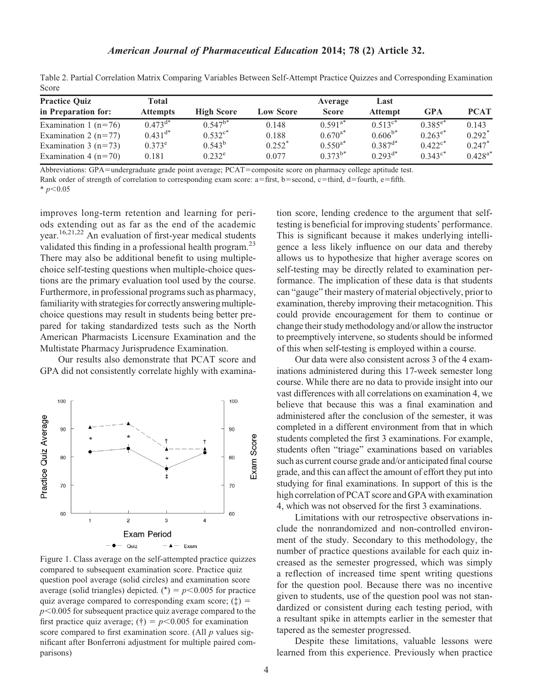| Total<br><b>Attempts</b> | <b>High Score</b> | <b>Low Score</b>     | Average<br><b>Score</b> | Last<br><b>Attempt</b> | <b>GPA</b>            | <b>PCAT</b>          |  |  |  |  |
|--------------------------|-------------------|----------------------|-------------------------|------------------------|-----------------------|----------------------|--|--|--|--|
| $0.473^{d*}$             | $0.547^{b*}$      | 0.148                | $0.591^{a*}$            | $0.513^{c*}$           | $0.385^{e*}$          | 0.143                |  |  |  |  |
| $0.431^{d*}$             | $0.532^{c*}$      | 0.188                | $0.670^{a*}$            | $0.606^{b*}$           |                       | $0.292^*$            |  |  |  |  |
| $0.373^e$                | $0.543^{\rm b}$   | $0.252$ <sup>*</sup> | $0.550^{a*}$            | $0.387^{d*}$           | $0.422$ <sup>c*</sup> | $0.247$ <sup>*</sup> |  |  |  |  |
| 0.181                    | $0.232^e$         | 0.077                | $0.373^{b*}$            | $0.293^{d*}$           | $0.343^{\circ*}$      | $0.428^{a*}$         |  |  |  |  |
|                          |                   |                      |                         |                        |                       | $0.263^{e*}$         |  |  |  |  |

Table 2. Partial Correlation Matrix Comparing Variables Between Self-Attempt Practice Quizzes and Corresponding Examination Score

Abbreviations: GPA=undergraduate grade point average; PCAT=composite score on pharmacy college aptitude test.

Rank order of strength of correlation to corresponding exam score:  $a=$  first,  $b=$  second,  $c=$  third,  $d=$  fourth,  $e=$  fifth.

 $* p<0.05$ 

improves long-term retention and learning for periods extending out as far as the end of the academic year.16,21,22 An evaluation of first-year medical students validated this finding in a professional health program.<sup>23</sup> There may also be additional benefit to using multiplechoice self-testing questions when multiple-choice questions are the primary evaluation tool used by the course. Furthermore, in professional programs such as pharmacy, familiarity with strategies for correctly answering multiplechoice questions may result in students being better prepared for taking standardized tests such as the North American Pharmacists Licensure Examination and the Multistate Pharmacy Jurisprudence Examination.

Our results also demonstrate that PCAT score and GPA did not consistently correlate highly with examina-



Figure 1. Class average on the self-attempted practice quizzes compared to subsequent examination score. Practice quiz question pool average (solid circles) and examination score average (solid triangles) depicted. (\*) =  $p$ <0.005 for practice quiz average compared to corresponding exam score;  $(\ddagger)$  =  $p<0.005$  for subsequent practice quiz average compared to the first practice quiz average; (†) =  $p$ <0.005 for examination score compared to first examination score. (All  $p$  values significant after Bonferroni adjustment for multiple paired comparisons)

tion score, lending credence to the argument that selftesting is beneficial for improving students' performance. This is significant because it makes underlying intelligence a less likely influence on our data and thereby allows us to hypothesize that higher average scores on self-testing may be directly related to examination performance. The implication of these data is that students can "gauge" their mastery of material objectively, prior to examination, thereby improving their metacognition. This could provide encouragement for them to continue or change their study methodology and/or allow the instructor to preemptively intervene, so students should be informed of this when self-testing is employed within a course.

Our data were also consistent across 3 of the 4 examinations administered during this 17-week semester long course. While there are no data to provide insight into our vast differences with all correlations on examination 4, we believe that because this was a final examination and administered after the conclusion of the semester, it was completed in a different environment from that in which students completed the first 3 examinations. For example, students often "triage" examinations based on variables such as current course grade and/or anticipated final course grade, and this can affect the amount of effort they put into studying for final examinations. In support of this is the high correlation of PCAT score and GPA with examination 4, which was not observed for the first 3 examinations.

Limitations with our retrospective observations include the nonrandomized and non-controlled environment of the study. Secondary to this methodology, the number of practice questions available for each quiz increased as the semester progressed, which was simply a reflection of increased time spent writing questions for the question pool. Because there was no incentive given to students, use of the question pool was not standardized or consistent during each testing period, with a resultant spike in attempts earlier in the semester that tapered as the semester progressed.

Despite these limitations, valuable lessons were learned from this experience. Previously when practice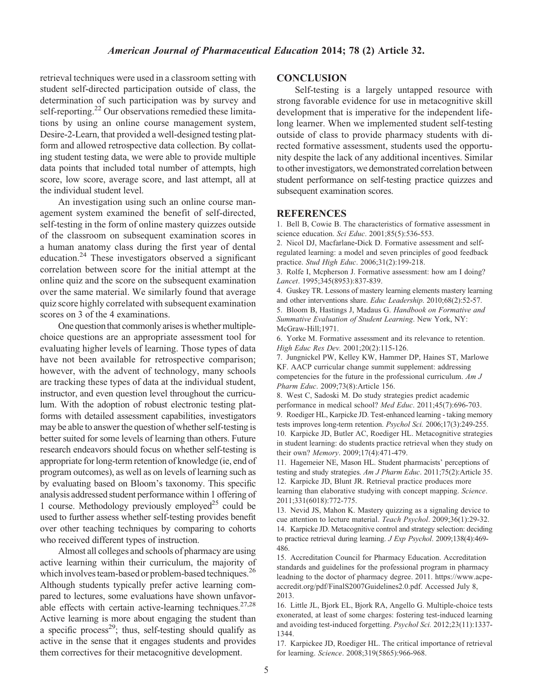retrieval techniques were used in a classroom setting with student self-directed participation outside of class, the determination of such participation was by survey and self-reporting.<sup>22</sup> Our observations remedied these limitations by using an online course management system, Desire-2-Learn, that provided a well-designed testing platform and allowed retrospective data collection. By collating student testing data, we were able to provide multiple data points that included total number of attempts, high score, low score, average score, and last attempt, all at the individual student level.

An investigation using such an online course management system examined the benefit of self-directed, self-testing in the form of online mastery quizzes outside of the classroom on subsequent examination scores in a human anatomy class during the first year of dental education. $^{24}$  These investigators observed a significant correlation between score for the initial attempt at the online quiz and the score on the subsequent examination over the same material. We similarly found that average quiz score highly correlated with subsequent examination scores on 3 of the 4 examinations.

One question that commonly arises is whether multiplechoice questions are an appropriate assessment tool for evaluating higher levels of learning. Those types of data have not been available for retrospective comparison; however, with the advent of technology, many schools are tracking these types of data at the individual student, instructor, and even question level throughout the curriculum. With the adoption of robust electronic testing platforms with detailed assessment capabilities, investigators may be able to answer the question of whether self-testing is better suited for some levels of learning than others. Future research endeavors should focus on whether self-testing is appropriate for long-term retention of knowledge (ie, end of program outcomes), as well as on levels of learning such as by evaluating based on Bloom's taxonomy. This specific analysis addressed student performance within 1 offering of 1 course. Methodology previously employed<sup>25</sup> could be used to further assess whether self-testing provides benefit over other teaching techniques by comparing to cohorts who received different types of instruction.

Almost all colleges and schools of pharmacy are using active learning within their curriculum, the majority of which involves team-based or problem-based techniques.<sup>26</sup> Although students typically prefer active learning compared to lectures, some evaluations have shown unfavorable effects with certain active-learning techniques.<sup>27,28</sup> Active learning is more about engaging the student than a specific process<sup>29</sup>; thus, self-testing should qualify as active in the sense that it engages students and provides them correctives for their metacognitive development.

#### **CONCLUSION**

Self-testing is a largely untapped resource with strong favorable evidence for use in metacognitive skill development that is imperative for the independent lifelong learner. When we implemented student self-testing outside of class to provide pharmacy students with directed formative assessment, students used the opportunity despite the lack of any additional incentives. Similar to other investigators, we demonstrated correlation between student performance on self-testing practice quizzes and subsequent examination scores.

#### **REFERENCES**

1. Bell B, Cowie B. The characteristics of formative assessment in science education. Sci Educ. 2001;85(5):536-553.

2. Nicol DJ, Macfarlane‐Dick D. Formative assessment and self‐ regulated learning: a model and seven principles of good feedback practice. Stud High Educ. 2006;31(2):199-218.

3. Rolfe I, Mcpherson J. Formative assessment: how am I doing? Lancet. 1995;345(8953):837-839.

4. Guskey TR. Lessons of mastery learning elements mastery learning and other interventions share. Educ Leadership. 2010;68(2):52-57. 5. Bloom B, Hastings J, Madaus G. Handbook on Formative and Summative Evaluation of Student Learning. New York, NY: McGraw-Hill;1971.

6. Yorke M. Formative assessment and its relevance to retention. High Educ Res Dev. 2001;20(2):115-126.

7. Jungnickel PW, Kelley KW, Hammer DP, Haines ST, Marlowe KF. AACP curricular change summit supplement: addressing competencies for the future in the professional curriculum. Am J Pharm Educ. 2009;73(8):Article 156.

8. West C, Sadoski M. Do study strategies predict academic performance in medical school? Med Educ. 2011;45(7):696-703. 9. Roediger HL, Karpicke JD. Test-enhanced learning - taking memory tests improves long-term retention. Psychol Sci. 2006;17(3):249-255. 10. Karpicke JD, Butler AC, Roediger HL. Metacognitive strategies in student learning: do students practice retrieval when they study on their own? Memory. 2009;17(4):471-479.

11. Hagemeier NE, Mason HL. Student pharmacists' perceptions of testing and study strategies. Am J Pharm Educ. 2011;75(2):Article 35. 12. Karpicke JD, Blunt JR. Retrieval practice produces more learning than elaborative studying with concept mapping. Science. 2011;331(6018):772-775.

13. Nevid JS, Mahon K. Mastery quizzing as a signaling device to cue attention to lecture material. Teach Psychol. 2009;36(1):29-32. 14. Karpicke JD. Metacognitive control and strategy selection: deciding to practice retrieval during learning. J Exp Psychol. 2009;138(4):469- 486.

15. Accreditation Council for Pharmacy Education. Accreditation standards and guidelines for the professional program in pharmacy leadning to the doctor of pharmacy degree. 2011. https://www.acpeaccredit.org/pdf/FinalS2007Guidelines2.0.pdf. Accessed July 8, 2013.

16. Little JL, Bjork EL, Bjork RA, Angello G. Multiple-choice tests exonerated, at least of some charges: fostering test-induced learning and avoiding test-induced forgetting. Psychol Sci. 2012;23(11):1337- 1344.

17. Karpickee JD, Roediger HL. The critical importance of retrieval for learning. Science. 2008;319(5865):966-968.